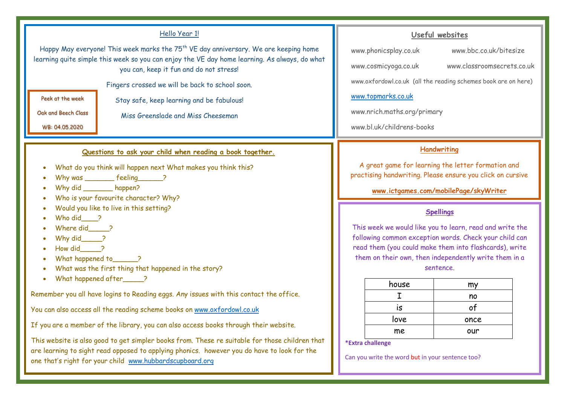#### Hello Year 1! Happy May everyone! This week marks the 75<sup>th</sup> VE day anniversary. We are keeping home learning quite simple this week so you can enjoy the VE day home learning. As always, do what you can, keep it fun and do not stress! Fingers crossed we will be back to school soon. Stay safe, keep learning and be fabulous! Miss Greenslade and Miss Cheeseman Peek at the week Oak and Beech Class WB: 04.05.2020 **Spellings** This week we would like you to learn, read and write the following common exception words. Check your child can **Handwriting** A great game for learning the letter formation and practising handwriting. Please ensure you click on cursive **www.ictgames.com/mobilePage/skyWriter Questions to ask your child when reading a book together.** • What do you think will happen next What makes you think this? Why was \_\_\_\_\_\_\_\_ feeling\_\_\_\_\_\_? Why did \_\_\_\_\_\_\_\_ happen? • Who is your favourite character? Why? • Would you like to live in this setting? Who did 2 Where did 2 • Why did\_\_\_\_\_? **Useful websites** www.phonicsplay.co.uk www.bbc.co.uk/bitesize www.cosmicyoga.co.uk www.classroomsecrets.co.uk www.oxfordowl.co.uk (all the reading schemes book are on here) www.topmarks.co.uk www.nrich.maths.org/primary www.bl.uk/childrens-books

- How did\_\_\_\_\_?
- What happened to 2
- What was the first thing that happened in the story?
- What happened after 2

Remember you all have logins to Reading eggs. Any issues with this contact the office.

You can also access all the reading scheme books on www.oxfordowl.co.uk

If you are a member of the library, you can also access books through their website.

This website is also good to get simpler books from. These re suitable for those children that are learning to sight read opposed to applying phonics. however you do have to look for the one that's right for your child www.hubbardscupboard.org

read them (you could make them into flashcards), write them on their own, then independently write them in a

#### sentence.

| house | my   |
|-------|------|
|       | no   |
| is    |      |
| love  | once |
| me    | our  |
|       |      |

**\*Extra challenge**

Can you write the word but in your sentence too?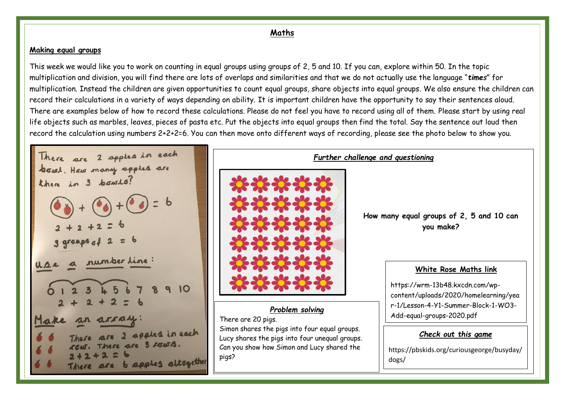# **Maths**

# **Making equal groups**

This week we would like you to work on counting in equal groups using groups of 2, 5 and 10. If you can, explore within 50. In the topic multiplication and division, you will find there are lots of overlaps and similarities and that we do not actually use the language "*times*" for multiplication. Instead the children are given opportunities to count equal groups, share objects into equal groups. We also ensure the children can record their calculations in a variety of ways depending on ability. It is important children have the opportunity to say their sentences aloud. There are examples below of how to record these calculations. Please do not feel you have to record using all of them. Please start by using real life objects such as marbles, leaves, pieces of pasta etc. Put the objects into equal groups then find the total. Say the sentence out loud then record the calculation using numbers 2+2+2=6. You can then move onto different ways of recording, please see the photo below to show you.

There are 2 apples in each bowl. How many apples are there in 3 bowls? number line 10 Make an arra. ure 2 apples in each There are 3 saws. There are b apples altogether



### There are 20 pigs.

Simon shares the pigs into four equal groups. Lucy shares the pigs into four unequal groups. Can you show how Simon and Lucy shared the pigs?

**How many equal groups of 2, 5 and 10 can you make?**

### **White Rose Maths link**

https://wrm-13b48.kxcdn.com/wpcontent/uploads/2020/homelearning/yea r-1/Lesson-4-Y1-Summer-Block-1-WO3- Add-equal-groups-2020.pdf

# *Check out this game*

https://pbskids.org/curiousgeorge/busyday/ dogs/